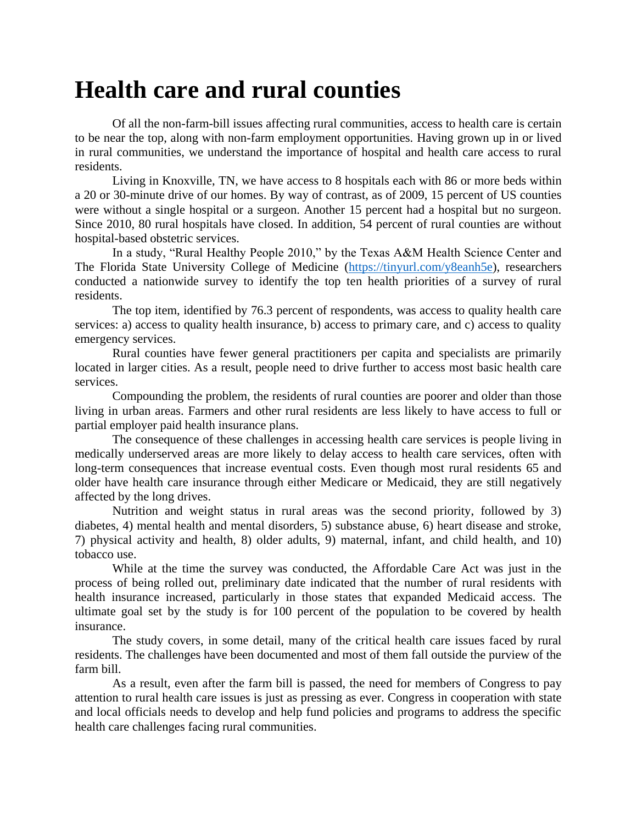## **Health care and rural counties**

Of all the non-farm-bill issues affecting rural communities, access to health care is certain to be near the top, along with non-farm employment opportunities. Having grown up in or lived in rural communities, we understand the importance of hospital and health care access to rural residents.

Living in Knoxville, TN, we have access to 8 hospitals each with 86 or more beds within a 20 or 30-minute drive of our homes. By way of contrast, as of 2009, 15 percent of US counties were without a single hospital or a surgeon. Another 15 percent had a hospital but no surgeon. Since 2010, 80 rural hospitals have closed. In addition, 54 percent of rural counties are without hospital-based obstetric services.

In a study, "Rural Healthy People 2010," by the Texas A&M Health Science Center and The Florida State University College of Medicine [\(https://tinyurl.com/y8eanh5e\)](https://tinyurl.com/y8eanh5e), researchers conducted a nationwide survey to identify the top ten health priorities of a survey of rural residents.

The top item, identified by 76.3 percent of respondents, was access to quality health care services: a) access to quality health insurance, b) access to primary care, and c) access to quality emergency services.

Rural counties have fewer general practitioners per capita and specialists are primarily located in larger cities. As a result, people need to drive further to access most basic health care services.

Compounding the problem, the residents of rural counties are poorer and older than those living in urban areas. Farmers and other rural residents are less likely to have access to full or partial employer paid health insurance plans.

The consequence of these challenges in accessing health care services is people living in medically underserved areas are more likely to delay access to health care services, often with long-term consequences that increase eventual costs. Even though most rural residents 65 and older have health care insurance through either Medicare or Medicaid, they are still negatively affected by the long drives.

Nutrition and weight status in rural areas was the second priority, followed by 3) diabetes, 4) mental health and mental disorders, 5) substance abuse, 6) heart disease and stroke, 7) physical activity and health, 8) older adults, 9) maternal, infant, and child health, and 10) tobacco use.

While at the time the survey was conducted, the Affordable Care Act was just in the process of being rolled out, preliminary date indicated that the number of rural residents with health insurance increased, particularly in those states that expanded Medicaid access. The ultimate goal set by the study is for 100 percent of the population to be covered by health insurance.

The study covers, in some detail, many of the critical health care issues faced by rural residents. The challenges have been documented and most of them fall outside the purview of the farm bill.

As a result, even after the farm bill is passed, the need for members of Congress to pay attention to rural health care issues is just as pressing as ever. Congress in cooperation with state and local officials needs to develop and help fund policies and programs to address the specific health care challenges facing rural communities.